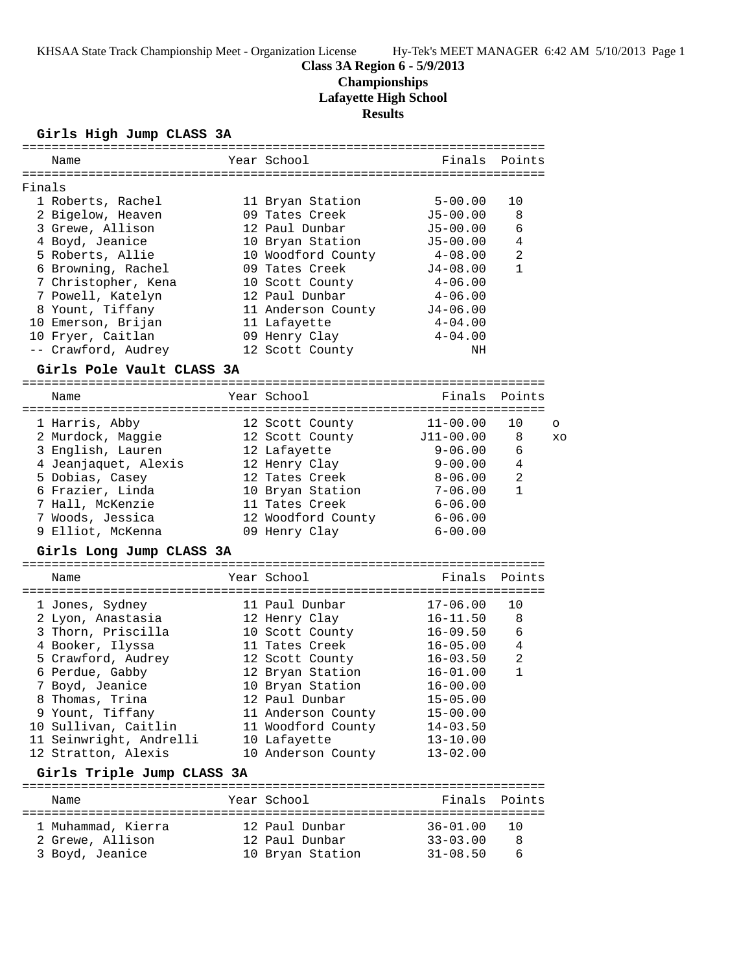# **Class 3A Region 6 - 5/9/2013**

**Championships**

**Lafayette High School**

**Results**

### **Girls High Jump CLASS 3A**

|        | Name                       | Year School        | Finals       | Points         |         |
|--------|----------------------------|--------------------|--------------|----------------|---------|
|        |                            |                    |              |                |         |
| Finals |                            |                    |              |                |         |
|        | 1 Roberts, Rachel          | 11 Bryan Station   | $5 - 00.00$  | 10             |         |
|        | 2 Bigelow, Heaven          | 09 Tates Creek     | $J5 - 00.00$ | 8              |         |
|        | 3 Grewe, Allison           | 12 Paul Dunbar     | $J5 - 00.00$ | 6              |         |
|        | 4 Boyd, Jeanice            | 10 Bryan Station   | $J5 - 00.00$ | 4              |         |
|        | 5 Roberts, Allie           | 10 Woodford County | $4 - 08.00$  | 2              |         |
|        | 6 Browning, Rachel         | 09 Tates Creek     | $J4-08.00$   | $\mathbf{1}$   |         |
|        | 7 Christopher, Kena        | 10 Scott County    | $4 - 06.00$  |                |         |
|        | 7 Powell, Katelyn          | 12 Paul Dunbar     | $4 - 06.00$  |                |         |
|        | 8 Yount, Tiffany           | 11 Anderson County | $J4 - 06.00$ |                |         |
|        | 10 Emerson, Brijan         | 11 Lafayette       | $4 - 04.00$  |                |         |
|        | 10 Fryer, Caitlan          | 09 Henry Clay      | $4 - 04.00$  |                |         |
|        | -- Crawford, Audrey        | 12 Scott County    | ΝH           |                |         |
|        | Girls Pole Vault CLASS 3A  |                    |              |                |         |
|        |                            |                    |              |                |         |
|        | Name                       | Year School        | Finals       | Points         |         |
|        | 1 Harris, Abby             | 12 Scott County    | 11-00.00     | 10             | $\circ$ |
|        | 2 Murdock, Maggie          | 12 Scott County    | J11-00.00    | 8              | XO      |
|        | 3 English, Lauren          | 12 Lafayette       | $9 - 06.00$  | 6              |         |
|        | 4 Jeanjaquet, Alexis       | 12 Henry Clay      | $9 - 00.00$  | 4              |         |
|        | 5 Dobias, Casey            | 12 Tates Creek     | 8-06.00      | 2              |         |
|        | 6 Frazier, Linda           | 10 Bryan Station   | $7 - 06.00$  | 1              |         |
|        | 7 Hall, McKenzie           | 11 Tates Creek     | 6-06.00      |                |         |
|        | 7 Woods, Jessica           | 12 Woodford County | $6 - 06.00$  |                |         |
|        | 9 Elliot, McKenna          | 09 Henry Clay      | $6 - 00.00$  |                |         |
|        | Girls Long Jump CLASS 3A   |                    |              |                |         |
|        |                            |                    |              |                |         |
|        | Name                       | Year School        | Finals       | Points         |         |
|        | 1 Jones, Sydney            | 11 Paul Dunbar     | $17 - 06.00$ | 10             |         |
|        | 2 Lyon, Anastasia          | 12 Henry Clay      | $16 - 11.50$ | 8              |         |
|        | 3 Thorn, Priscilla         | 10 Scott County    | $16 - 09.50$ | 6              |         |
|        | 4 Booker, Ilyssa           | 11 Tates Creek     | $16 - 05.00$ | 4              |         |
|        | 5 Crawford, Audrey         | 12 Scott County    | $16 - 03.50$ | $\overline{a}$ |         |
|        | 6 Perdue, Gabby            | 12 Bryan Station   | $16 - 01.00$ | $\mathbf{1}$   |         |
|        | 7 Boyd, Jeanice            | 10 Bryan Station   | $16 - 00.00$ |                |         |
|        | 8 Thomas, Trina            | 12 Paul Dunbar     | $15 - 05.00$ |                |         |
|        | 9 Yount, Tiffany           | 11 Anderson County | $15 - 00.00$ |                |         |
|        | 10 Sullivan, Caitlin       | 11 Woodford County | $14 - 03.50$ |                |         |
|        | 11 Seinwright, Andrelli    | 10 Lafayette       | $13 - 10.00$ |                |         |
|        | 12 Stratton, Alexis        | 10 Anderson County | $13 - 02.00$ |                |         |
|        |                            |                    |              |                |         |
|        | Girls Triple Jump CLASS 3A |                    |              |                |         |
|        | Name                       | Year School        | Finals       | Points         |         |
|        | 1 Muhammad, Kierra         | 12 Paul Dunbar     | $36 - 01.00$ | 10             |         |

 2 Grewe, Allison 12 Paul Dunbar 33-03.00 8 3 Boyd, Jeanice 10 Bryan Station 31-08.50 6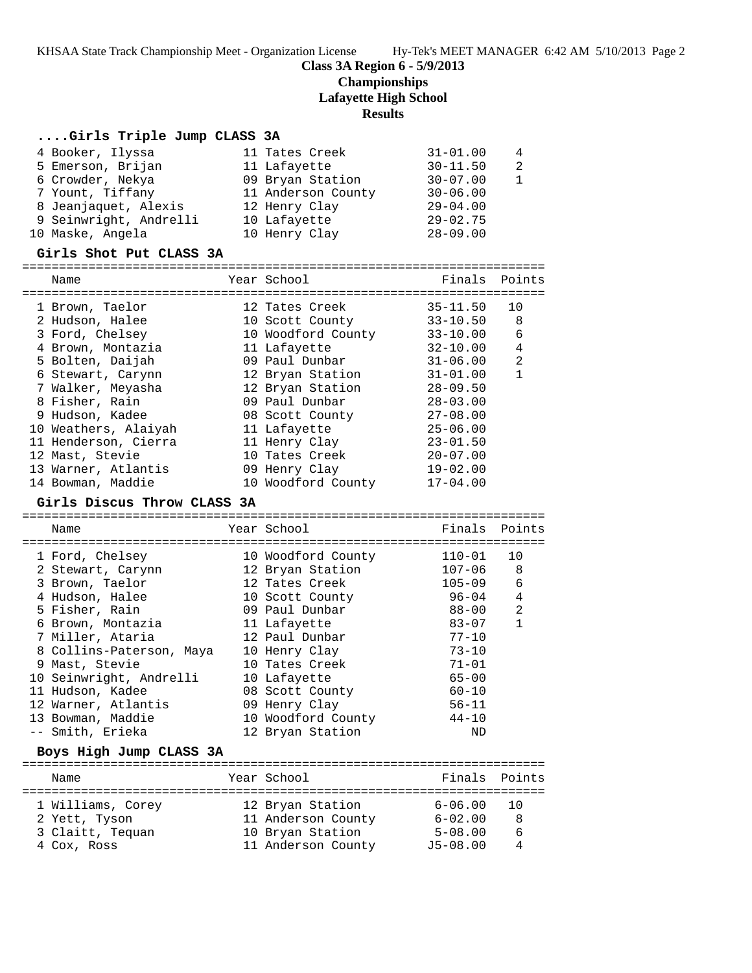KHSAA State Track Championship Meet - Organization License Hy-Tek's MEET MANAGER 6:42 AM 5/10/2013 Page 2

### **Class 3A Region 6 - 5/9/2013**

## **Championships**

## **Lafayette High School**

### **Results**

### **....Girls Triple Jump CLASS 3A**

| 4 Booker, Ilyssa       | 11 Tates Creek     | $31 - 01.00$ | 4             |
|------------------------|--------------------|--------------|---------------|
| 5 Emerson, Brijan      | 11 Lafayette       | $30 - 11.50$ | $\mathcal{L}$ |
| 6 Crowder, Nekya       | 09 Bryan Station   | $30 - 07.00$ |               |
| 7 Yount, Tiffany       | 11 Anderson County | $30 - 06.00$ |               |
| 8 Jeanjaquet, Alexis   | 12 Henry Clay      | $29 - 04.00$ |               |
| 9 Seinwright, Andrelli | 10 Lafayette       | $29 - 02.75$ |               |
| 10 Maske, Angela       | 10 Henry Clay      | $28 - 09.00$ |               |

### **Girls Shot Put CLASS 3A**

| Name                 |  | Year School        | Finals Points |                |  |  |
|----------------------|--|--------------------|---------------|----------------|--|--|
|                      |  |                    |               |                |  |  |
| 1 Brown, Taelor      |  | 12 Tates Creek     | $35 - 11.50$  | 10             |  |  |
| 2 Hudson, Halee      |  | 10 Scott County    | $33 - 10.50$  | 8              |  |  |
| 3 Ford, Chelsey      |  | 10 Woodford County | $33 - 10.00$  | 6              |  |  |
| 4 Brown, Montazia    |  | 11 Lafayette       | $32 - 10.00$  | 4              |  |  |
| 5 Bolten, Daijah     |  | 09 Paul Dunbar     | $31 - 06.00$  | $\overline{2}$ |  |  |
| 6 Stewart, Carynn    |  | 12 Bryan Station   | $31 - 01.00$  | 1              |  |  |
| 7 Walker, Meyasha    |  | 12 Bryan Station   | $28 - 09.50$  |                |  |  |
| 8 Fisher, Rain       |  | 09 Paul Dunbar     | $28 - 03.00$  |                |  |  |
| 9 Hudson, Kadee      |  | 08 Scott County    | $27 - 08.00$  |                |  |  |
| 10 Weathers, Alaiyah |  | 11 Lafayette       | $25 - 06.00$  |                |  |  |
| 11 Henderson, Cierra |  | 11 Henry Clay      | $23 - 01.50$  |                |  |  |
| 12 Mast, Stevie      |  | 10 Tates Creek     | $20 - 07.00$  |                |  |  |
| 13 Warner, Atlantis  |  | 09 Henry Clay      | $19 - 02.00$  |                |  |  |
| 14 Bowman, Maddie    |  | 10 Woodford County | $17 - 04.00$  |                |  |  |

#### **Girls Discus Throw CLASS 3A**

======================================================================= Name Year School Finals Points ======================================================================= 1 Ford, Chelsey 10 Woodford County 110-01 10 2 Stewart, Carynn 12 Bryan Station 107-06 8 3 Brown, Taelor 12 Tates Creek 105-09 6 4 Hudson, Halee 10 Scott County 96-04 4 5 Fisher, Rain 09 Paul Dunbar 88-00 2 6 Brown, Montazia 11 Lafayette 83-07 1 7 Miller, Ataria 12 Paul Dunbar 77-10 8 Collins-Paterson, Maya 10 Henry Clay 73-10 9 Mast, Stevie 10 Tates Creek 71-01 10 Seinwright, Andrelli 10 Lafayette 65-00 11 Hudson, Kadee 08 Scott County 60-10 12 Warner, Atlantis 199 Henry Clay 12 Warner, Atlantis 13 Bowman, Maddie 10 Woodford County 44-10 -- Smith, Erieka 12 Bryan Station ND

### **Boys High Jump CLASS 3A**

| Name              |  | Year School        | Finals Points |       |  |  |
|-------------------|--|--------------------|---------------|-------|--|--|
|                   |  |                    |               |       |  |  |
| 1 Williams, Corey |  | 12 Bryan Station   | $6 - 06.00$   | - 1 O |  |  |
| 2 Yett, Tyson     |  | 11 Anderson County | $6 - 02.00$   | 8     |  |  |
| 3 Claitt, Tequan  |  | 10 Bryan Station   | $5 - 08.00$   | 6     |  |  |
| 4 Cox, Ross       |  | 11 Anderson County | $J5-08.00$    | 4     |  |  |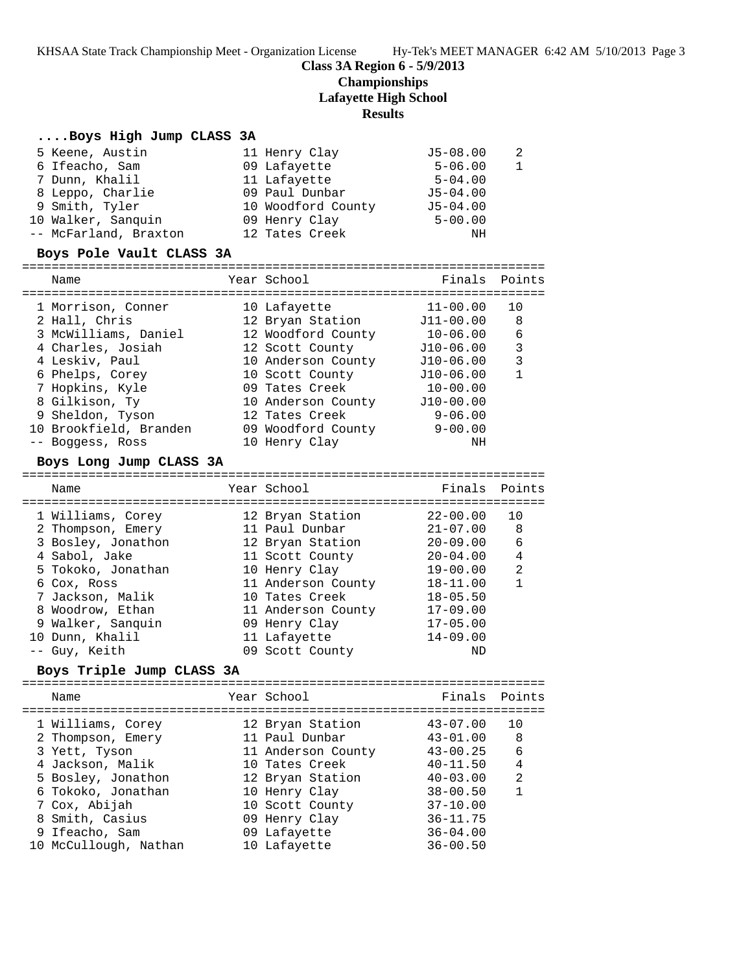KHSAA State Track Championship Meet - Organization License Hy-Tek's MEET MANAGER 6:42 AM 5/10/2013 Page 3

## **Class 3A Region 6 - 5/9/2013**

## **Championships**

**Lafayette High School**

## **Results**

## **....Boys High Jump CLASS 3A**

| 5 Keene, Austin       | 11 Henry Clay      | $J5 - 08.00$ | - 2            |
|-----------------------|--------------------|--------------|----------------|
| 6 Ifeacho, Sam        | 09 Lafayette       | $5 - 06.00$  | $\overline{1}$ |
| 7 Dunn, Khalil        | 11 Lafayette       | $5 - 04.00$  |                |
| 8 Leppo, Charlie      | 09 Paul Dunbar     | $J5 - 04.00$ |                |
| 9 Smith, Tyler        | 10 Woodford County | $J5 - 04.00$ |                |
| 10 Walker, Sanguin    | 09 Henry Clay      | $5 - 00.00$  |                |
| -- McFarland, Braxton | 12 Tates Creek     | ΝH           |                |

### **Boys Pole Vault CLASS 3A**

| Name                   | Year School        | Finals Points |    |
|------------------------|--------------------|---------------|----|
| 1 Morrison, Conner     | 10 Lafayette       | $11 - 00.00$  | 10 |
| 2 Hall, Chris          | 12 Bryan Station   | $J11-00.00$   | 8  |
| 3 McWilliams, Daniel   | 12 Woodford County | $10 - 06.00$  | 6  |
| 4 Charles, Josiah      | 12 Scott County    | $J10-06.00$   | 3  |
| 4 Leskiv, Paul         | 10 Anderson County | $J10-06.00$   | 3  |
| 6 Phelps, Corey        | 10 Scott County    | $J10-06.00$   |    |
| 7 Hopkins, Kyle        | 09 Tates Creek     | $10 - 00.00$  |    |
| 8 Gilkison, Ty         | 10 Anderson County | $J10-00.00$   |    |
| 9 Sheldon, Tyson       | 12 Tates Creek     | $9 - 06.00$   |    |
| 10 Brookfield, Branden | 09 Woodford County | $9 - 00.00$   |    |
| Boggess, Ross          | 10 Henry Clay      | NΗ            |    |

### **Boys Long Jump CLASS 3A**

| Name               | Year School        | Finals Points |                |
|--------------------|--------------------|---------------|----------------|
| 1 Williams, Corey  | 12 Bryan Station   | $22 - 00.00$  | 10             |
| 2 Thompson, Emery  | 11 Paul Dunbar     | $21 - 07.00$  | 8              |
| 3 Bosley, Jonathon | 12 Bryan Station   | $20 - 09.00$  | 6              |
| 4 Sabol, Jake      | 11 Scott County    | $20 - 04.00$  | $\overline{4}$ |
| 5 Tokoko, Jonathan | 10 Henry Clay      | $19 - 00.00$  | $\mathfrak{D}$ |
| 6 Cox, Ross        | 11 Anderson County | $18 - 11.00$  |                |
| 7 Jackson, Malik   | 10 Tates Creek     | $18 - 05.50$  |                |
| 8 Woodrow, Ethan   | 11 Anderson County | $17 - 09.00$  |                |
| 9 Walker, Sanguin  | 09 Henry Clay      | $17 - 05.00$  |                |
| 10 Dunn, Khalil    | 11 Lafayette       | $14 - 09.00$  |                |
| -- Guy, Keith      | 09 Scott County    | ΝD            |                |

## **Boys Triple Jump CLASS 3A**

=======================================================================

|  | Name                  | Year School        | Finals       | Points         |
|--|-----------------------|--------------------|--------------|----------------|
|  | 1 Williams, Corey     | 12 Bryan Station   | $43 - 07.00$ | 10             |
|  | 2 Thompson, Emery     | 11 Paul Dunbar     | $43 - 01.00$ | 8              |
|  | 3 Yett, Tyson         | 11 Anderson County | $43 - 00.25$ | 6              |
|  | 4 Jackson, Malik      | 10 Tates Creek     | $40 - 11.50$ | 4              |
|  | 5 Bosley, Jonathon    | 12 Bryan Station   | $40 - 03.00$ | $\mathfrak{D}$ |
|  | 6 Tokoko, Jonathan    | 10 Henry Clay      | $38 - 00.50$ | 1              |
|  | 7 Cox, Abijah         | 10 Scott County    | $37 - 10.00$ |                |
|  | 8 Smith, Casius       | 09 Henry Clay      | $36 - 11.75$ |                |
|  | 9 Ifeacho, Sam        | 09 Lafayette       | $36 - 04.00$ |                |
|  | 10 McCullough, Nathan | 10 Lafayette       | $36 - 00.50$ |                |
|  |                       |                    |              |                |